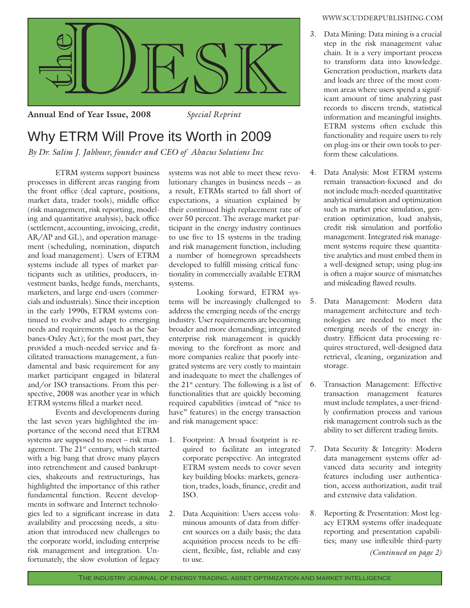

**Annual End of Year Issue, 2008** *Special Reprint* 

## Why ETRM Will Prove its Worth in 2009

*By Dr. Salim J. Jabbour, founder and CEO of Abacus Solutions Inc*

 ETRM systems support business processes in different areas ranging from the front office (deal capture, positions, market data, trader tools), middle office (risk management, risk reporting, modeling and quantitative analysis), back office (settlement, accounting, invoicing, credit, AR/AP and GL), and operation management (scheduling, nomination, dispatch and load management). Users of ETRM systems include all types of market participants such as utilities, producers, investment banks, hedge funds, merchants, marketers, and large end-users (commercials and industrials). Since their inception in the early 1990s, ETRM systems continued to evolve and adapt to emerging needs and requirements (such as the Sarbanes-Oxley Act); for the most part, they provided a much-needed service and facilitated transactions management, a fundamental and basic requirement for any market participant engaged in bilateral and/or ISO transactions. From this perspective, 2008 was another year in which ETRM systems filled a market need.

 Events and developments during the last seven years highlighted the importance of the second need that ETRM systems are supposed to meet – risk management. The  $21<sup>st</sup>$  century, which started with a big bang that drove many players into retrenchment and caused bankruptcies, shakeouts and restructurings, has highlighted the importance of this rather fundamental function. Recent developments in software and Internet technologies led to a significant increase in data availability and processing needs, a situation that introduced new challenges to the corporate world, including enterprise risk management and integration. Unfortunately, the slow evolution of legacy

systems was not able to meet these revolutionary changes in business needs – as a result, ETRMs started to fall short of expectations, a situation explained by their continued high replacement rate of over 50 percent. The average market participant in the energy industry continues to use five to  $15$  systems in the trading and risk management function, including a number of homegrown spreadsheets developed to fulfill missing critical functionality in commercially available ETRM systems.

 Looking forward, ETRM systems will be increasingly challenged to address the emerging needs of the energy industry. User requirements are becoming broader and more demanding; integrated enterprise risk management is quickly moving to the forefront as more and more companies realize that poorly integrated systems are very costly to maintain and inadequate to meet the challenges of the  $21^{st}$  century. The following is a list of functionalities that are quickly becoming required capabilities (instead of "nice to have" features) in the energy transaction and risk management space:

- 1. Footprint: A broad footprint is required to facilitate an integrated corporate perspective. An integrated ETRM system needs to cover seven key building blocks: markets, generation, trades, loads, finance, credit and ISO.
- 2. Data Acquisition: Users access voluminous amounts of data from different sources on a daily basis; the data acquisition process needs to be efficient, flexible, fast, reliable and easy to use.

## WWW.SCUDDERPUBLISHING.COM

- 3. Data Mining: Data mining is a crucial step in the risk management value chain. It is a very important process to transform data into knowledge. Generation production, markets data and loads are three of the most common areas where users spend a significant amount of time analyzing past records to discern trends, statistical information and meaningful insights. ETRM systems often exclude this functionality and require users to rely on plug-ins or their own tools to perform these calculations.
- 4. Data Analysis: Most ETRM systems remain transaction-focused and do not include much-needed quantitative analytical simulation and optimization such as market price simulation, generation optimization, load analysis, credit risk simulation and portfolio management. Integrated risk management systems require these quantitative analytics and must embed them in a well-designed setup; using plug-ins is often a major source of mismatches and misleading flawed results.
- 5. Data Management: Modern data management architecture and technologies are needed to meet the emerging needs of the energy industry. Efficient data processing requires structured, well-designed data retrieval, cleaning, organization and storage.
- 6. Transaction Management: Effective transaction management features must include templates, a user-friendly confirmation process and various risk management controls such as the ability to set different trading limits.
- 7. Data Security & Integrity: Modern data management systems offer advanced data security and integrity features including user authentication, access authorization, audit trail and extensive data validation.
- 8. Reporting & Presentation: Most legacy ETRM systems offer inadequate reporting and presentation capabilities; many use inflexible third-party

*(Continued on page 2)*